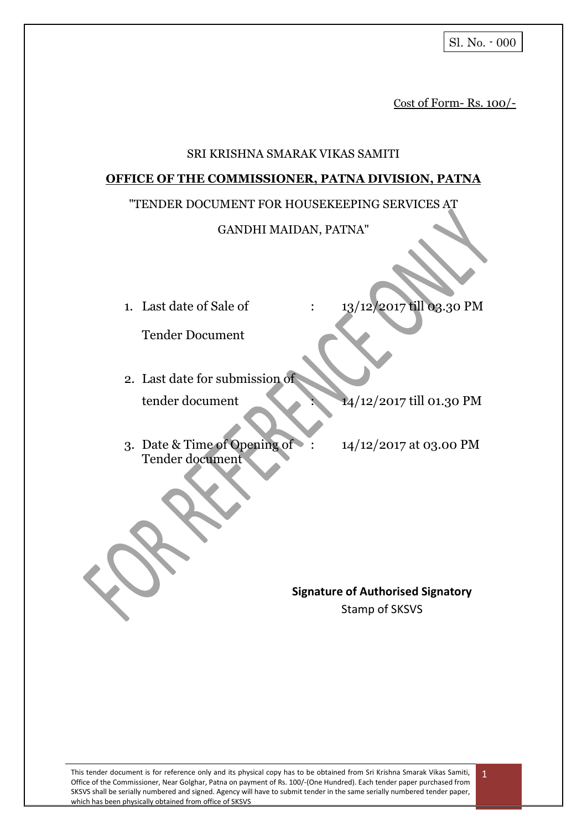Cost of Form- Rs. 100/-

#### SRI KRISHNA SMARAK VIKAS SAMITI

#### **OFFICE OF THE COMMISSIONER, PATNA DIVISION, PATNA**

#### "TENDER DOCUMENT FOR HOUSEKEEPING SERVICES AT

#### GANDHI MAIDAN, PATNA"

1. Last date of Sale of : 13/12/2017 till 03.30 PM

Tender Document

2. Last date for submission of tender document 14/12/2017 till 01.30 PM

- 3. Date & Time of Opening of : 14/12/2017 at 03.00 PM Tender document
	-

**Signature of Authorised Signatory** Stamp of SKSVS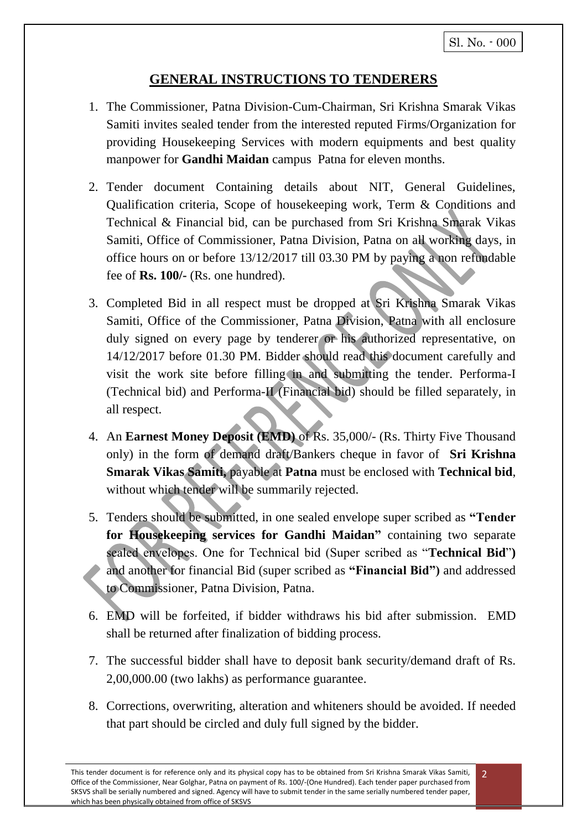# **GENERAL INSTRUCTIONS TO TENDERERS**

- 1. The Commissioner, Patna Division-Cum-Chairman, Sri Krishna Smarak Vikas Samiti invites sealed tender from the interested reputed Firms/Organization for providing Housekeeping Services with modern equipments and best quality manpower for **Gandhi Maidan** campus Patna for eleven months.
- 2. Tender document Containing details about NIT, General Guidelines, Qualification criteria, Scope of housekeeping work, Term & Conditions and Technical & Financial bid, can be purchased from Sri Krishna Smarak Vikas Samiti, Office of Commissioner, Patna Division, Patna on all working days, in office hours on or before 13/12/2017 till 03.30 PM by paying a non refundable fee of **Rs. 100/-** (Rs. one hundred).
- 3. Completed Bid in all respect must be dropped at Sri Krishna Smarak Vikas Samiti, Office of the Commissioner, Patna Division, Patna with all enclosure duly signed on every page by tenderer or his authorized representative, on 14/12/2017 before 01.30 PM. Bidder should read this document carefully and visit the work site before filling in and submitting the tender. Performa-I (Technical bid) and Performa-II (Financial bid) should be filled separately, in all respect.
- 4. An **Earnest Money Deposit (EMD)** of Rs. 35,000/- (Rs. Thirty Five Thousand only) in the form of demand draft/Bankers cheque in favor of **Sri Krishna Smarak Vikas Samiti,** payable at **Patna** must be enclosed with **Technical bid**, without which tender will be summarily rejected.
- 5. Tenders should be submitted, in one sealed envelope super scribed as **"Tender for Housekeeping services for Gandhi Maidan"** containing two separate sealed envelopes. One for Technical bid (Super scribed as "**Technical Bid**"**)**  and another for financial Bid (super scribed as **"Financial Bid")** and addressed to Commissioner, Patna Division, Patna.
- 6. EMD will be forfeited, if bidder withdraws his bid after submission. EMD shall be returned after finalization of bidding process.
- 7. The successful bidder shall have to deposit bank security/demand draft of Rs. 2,00,000.00 (two lakhs) as performance guarantee.
- 8. Corrections, overwriting, alteration and whiteners should be avoided. If needed that part should be circled and duly full signed by the bidder.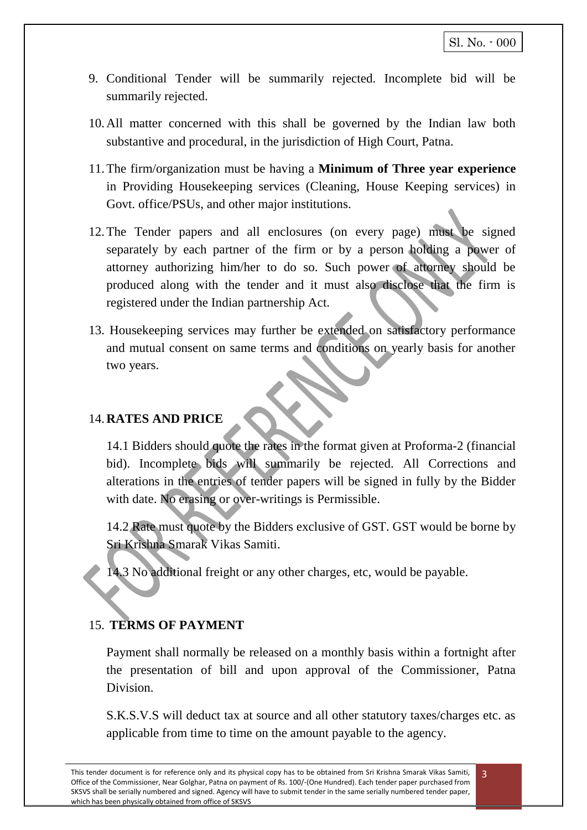- 9. Conditional Tender will be summarily rejected. Incomplete bid will be summarily rejected.
- 10.All matter concerned with this shall be governed by the Indian law both substantive and procedural, in the jurisdiction of High Court, Patna.
- 11.The firm/organization must be having a **Minimum of Three year experience** in Providing Housekeeping services (Cleaning, House Keeping services) in Govt. office/PSUs, and other major institutions.
- 12.The Tender papers and all enclosures (on every page) must be signed separately by each partner of the firm or by a person holding a power of attorney authorizing him/her to do so. Such power of attorney should be produced along with the tender and it must also disclose that the firm is registered under the Indian partnership Act.
- 13. Housekeeping services may further be extended on satisfactory performance and mutual consent on same terms and conditions on yearly basis for another two years.

### 14.**RATES AND PRICE**

14.1 Bidders should quote the rates in the format given at Proforma-2 (financial bid). Incomplete bids will summarily be rejected. All Corrections and alterations in the entries of tender papers will be signed in fully by the Bidder with date. No erasing or over-writings is Permissible.

14.2 Rate must quote by the Bidders exclusive of GST. GST would be borne by Sri Krishna Smarak Vikas Samiti.

14.3 No additional freight or any other charges, etc, would be payable.

# 15. **TERMS OF PAYMENT**

Payment shall normally be released on a monthly basis within a fortnight after the presentation of bill and upon approval of the Commissioner, Patna **Division** 

S.K.S.V.S will deduct tax at source and all other statutory taxes/charges etc. as applicable from time to time on the amount payable to the agency.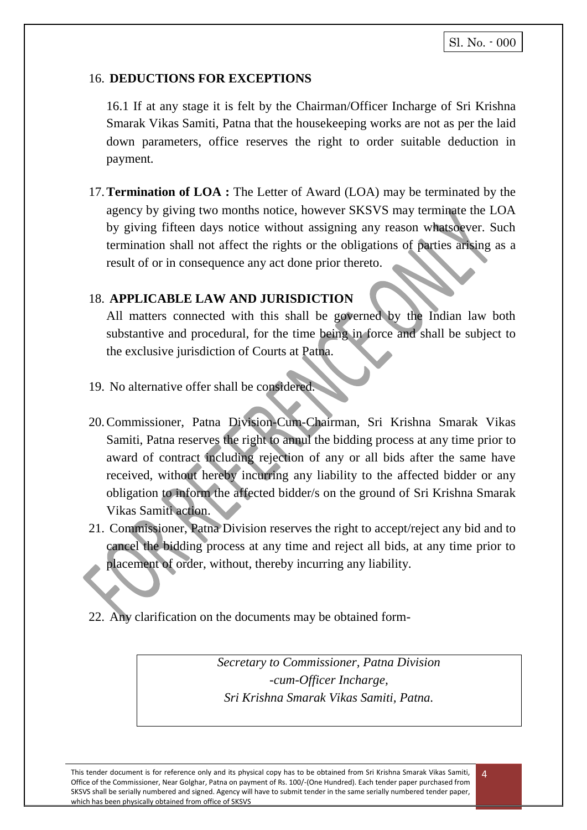### 16. **DEDUCTIONS FOR EXCEPTIONS**

16.1 If at any stage it is felt by the Chairman/Officer Incharge of Sri Krishna Smarak Vikas Samiti, Patna that the housekeeping works are not as per the laid down parameters, office reserves the right to order suitable deduction in payment.

17.**Termination of LOA :** The Letter of Award (LOA) may be terminated by the agency by giving two months notice, however SKSVS may terminate the LOA by giving fifteen days notice without assigning any reason whatsoever. Such termination shall not affect the rights or the obligations of parties arising as a result of or in consequence any act done prior thereto.

### 18. **APPLICABLE LAW AND JURISDICTION**

All matters connected with this shall be governed by the Indian law both substantive and procedural, for the time being in force and shall be subject to the exclusive jurisdiction of Courts at Patna.

- 19. No alternative offer shall be considered.
- 20.Commissioner, Patna Division-Cum-Chairman, Sri Krishna Smarak Vikas Samiti, Patna reserves the right to annul the bidding process at any time prior to award of contract including rejection of any or all bids after the same have received, without hereby incurring any liability to the affected bidder or any obligation to inform the affected bidder/s on the ground of Sri Krishna Smarak Vikas Samiti action.
- 21. Commissioner, Patna Division reserves the right to accept/reject any bid and to cancel the bidding process at any time and reject all bids, at any time prior to placement of order, without, thereby incurring any liability.
- 22. Any clarification on the documents may be obtained form-

*Secretary to Commissioner, Patna Division -cum-Officer Incharge, Sri Krishna Smarak Vikas Samiti, Patna.*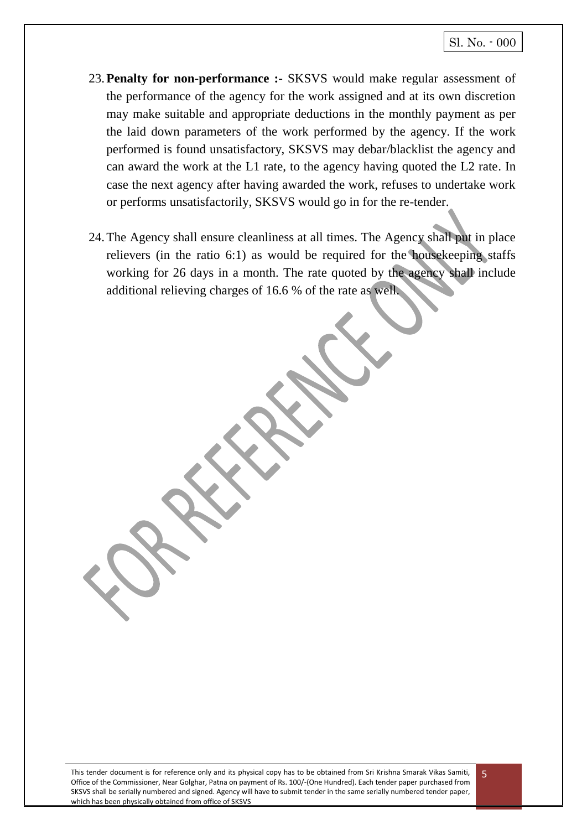- 23.**Penalty for non-performance :-** SKSVS would make regular assessment of the performance of the agency for the work assigned and at its own discretion may make suitable and appropriate deductions in the monthly payment as per the laid down parameters of the work performed by the agency. If the work performed is found unsatisfactory, SKSVS may debar/blacklist the agency and can award the work at the L1 rate, to the agency having quoted the L2 rate. In case the next agency after having awarded the work, refuses to undertake work or performs unsatisfactorily, SKSVS would go in for the re-tender.
- 24.The Agency shall ensure cleanliness at all times. The Agency shall put in place relievers (in the ratio 6:1) as would be required for the housekeeping staffs working for 26 days in a month. The rate quoted by the agency shall include additional relieving charges of 16.6 % of the rate as well.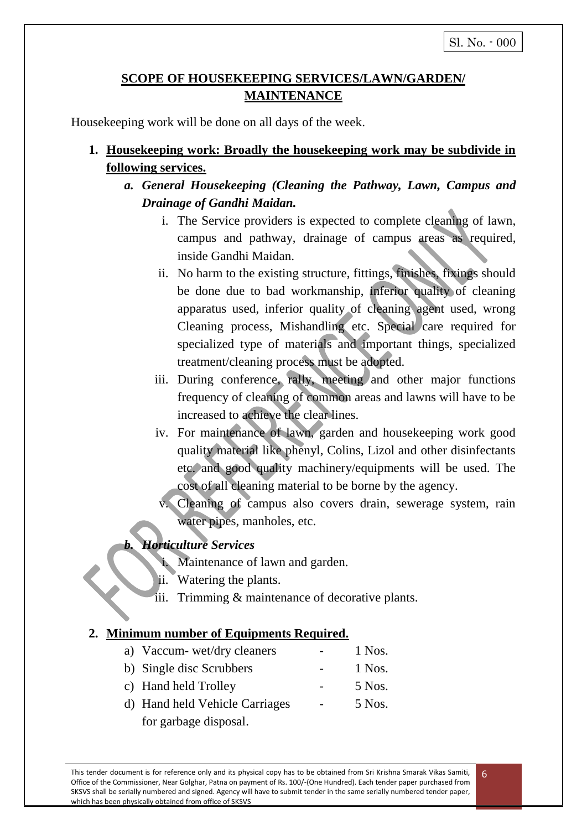# **SCOPE OF HOUSEKEEPING SERVICES/LAWN/GARDEN/ MAINTENANCE**

Housekeeping work will be done on all days of the week.

- **1. Housekeeping work: Broadly the housekeeping work may be subdivide in following services.**
	- *a. General Housekeeping (Cleaning the Pathway, Lawn, Campus and Drainage of Gandhi Maidan.*
		- i. The Service providers is expected to complete cleaning of lawn, campus and pathway, drainage of campus areas as required, inside Gandhi Maidan.
		- ii. No harm to the existing structure, fittings, finishes, fixings should be done due to bad workmanship, inferior quality of cleaning apparatus used, inferior quality of cleaning agent used, wrong Cleaning process, Mishandling etc. Special care required for specialized type of materials and important things, specialized treatment/cleaning process must be adopted.
		- iii. During conference, rally, meeting and other major functions frequency of cleaning of common areas and lawns will have to be increased to achieve the clear lines.
		- iv. For maintenance of lawn, garden and housekeeping work good quality material like phenyl, Colins, Lizol and other disinfectants etc. and good quality machinery/equipments will be used. The cost of all cleaning material to be borne by the agency.
			- Cleaning of campus also covers drain, sewerage system, rain water pipes, manholes, etc.

# *b. Horticulture Services*

- i. Maintenance of lawn and garden.
- ii. Watering the plants.
- iii. Trimming & maintenance of decorative plants.

### **2. Minimum number of Equipments Required.**

- a) Vaccum- wet/dry cleaners 1 Nos. b) Single disc Scrubbers - 1 Nos.
- c) Hand held Trolley 5 Nos.
- d) Hand held Vehicle Carriages 5 Nos. for garbage disposal.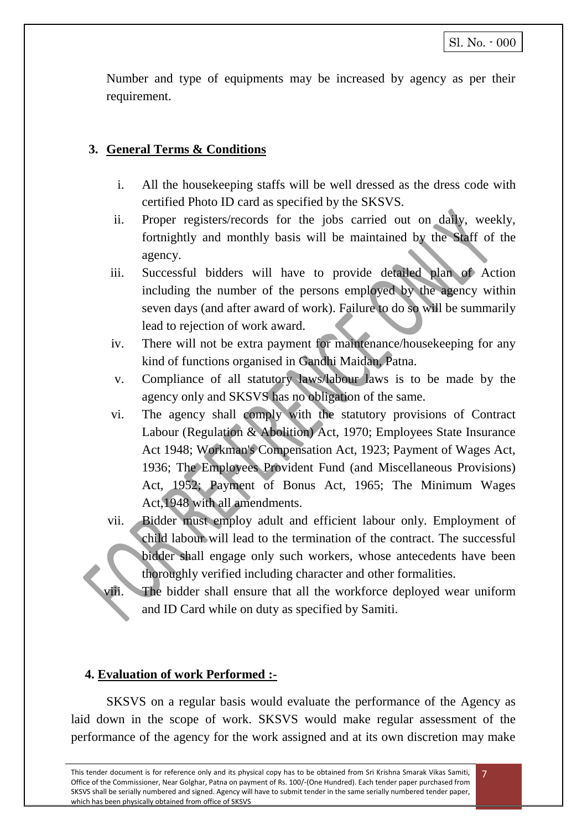Number and type of equipments may be increased by agency as per their requirement.

#### **3. General Terms & Conditions**

- i. All the housekeeping staffs will be well dressed as the dress code with certified Photo ID card as specified by the SKSVS.
- ii. Proper registers/records for the jobs carried out on daily, weekly, fortnightly and monthly basis will be maintained by the Staff of the agency.
- iii. Successful bidders will have to provide detailed plan of Action including the number of the persons employed by the agency within seven days (and after award of work). Failure to do so will be summarily lead to rejection of work award.
- iv. There will not be extra payment for maintenance/housekeeping for any kind of functions organised in Gandhi Maidan, Patna.
- v. Compliance of all statutory laws/labour laws is to be made by the agency only and SKSVS has no obligation of the same.
- vi. The agency shall comply with the statutory provisions of Contract Labour (Regulation & Abolition) Act, 1970; Employees State Insurance Act 1948; Workman's Compensation Act, 1923; Payment of Wages Act, 1936; The Employees Provident Fund (and Miscellaneous Provisions) Act, 1952; Payment of Bonus Act, 1965; The Minimum Wages Act,1948 with all amendments.
- vii. Bidder must employ adult and efficient labour only. Employment of child labour will lead to the termination of the contract. The successful bidder shall engage only such workers, whose antecedents have been thoroughly verified including character and other formalities.
- viii. The bidder shall ensure that all the workforce deployed wear uniform and ID Card while on duty as specified by Samiti.

#### **4. Evaluation of work Performed :-**

SKSVS on a regular basis would evaluate the performance of the Agency as laid down in the scope of work. SKSVS would make regular assessment of the performance of the agency for the work assigned and at its own discretion may make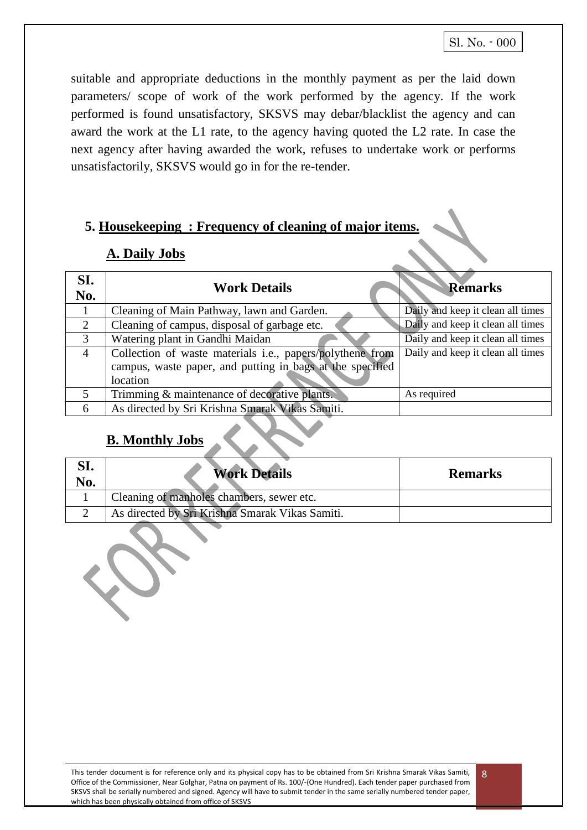suitable and appropriate deductions in the monthly payment as per the laid down parameters/ scope of work of the work performed by the agency. If the work performed is found unsatisfactory, SKSVS may debar/blacklist the agency and can award the work at the L1 rate, to the agency having quoted the L2 rate. In case the next agency after having awarded the work, refuses to undertake work or performs unsatisfactorily, SKSVS would go in for the re-tender.

# **5. Housekeeping : Frequency of cleaning of major items.**

### **A. Daily Jobs**

| SI.<br>No.     | <b>Work Details</b>                                       | <b>Remarks</b>                    |
|----------------|-----------------------------------------------------------|-----------------------------------|
|                | Cleaning of Main Pathway, lawn and Garden.                | Daily and keep it clean all times |
| 2              | Cleaning of campus, disposal of garbage etc.              | Daily and keep it clean all times |
| 3              | Watering plant in Gandhi Maidan                           | Daily and keep it clean all times |
| $\overline{4}$ | Collection of waste materials i.e., papers/polythene from | Daily and keep it clean all times |
|                | campus, waste paper, and putting in bags at the specified |                                   |
|                | location                                                  |                                   |
|                | Trimming & maintenance of decorative plants.              | As required                       |
| 6              | As directed by Sri Krishna Smarak Vikas Samiti.           |                                   |

# **B. Monthly Jobs**

| ol.<br>No. | <b>Work Details</b>                             | <b>Remarks</b> |
|------------|-------------------------------------------------|----------------|
|            | Cleaning of manholes chambers, sewer etc.       |                |
|            | As directed by Sri Krishna Smarak Vikas Samiti. |                |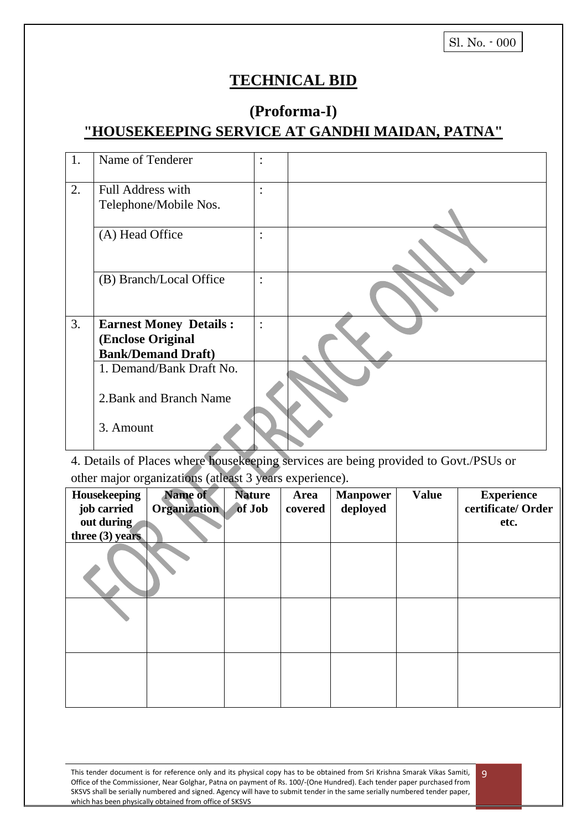# **TECHNICAL BID**

# **(Proforma-I)**

# **"HOUSEKEEPING SERVICE AT GANDHI MAIDAN, PATNA"**

| 1. | Name of Tenderer              | $\ddot{\cdot}$ |  |
|----|-------------------------------|----------------|--|
| 2. | <b>Full Address with</b>      | $\ddot{\cdot}$ |  |
|    | Telephone/Mobile Nos.         |                |  |
|    | (A) Head Office               | $\ddot{\cdot}$ |  |
|    | (B) Branch/Local Office       | $\ddot{\cdot}$ |  |
| 3. | <b>Earnest Money Details:</b> | $\ddot{\cdot}$ |  |
|    | (Enclose Original             |                |  |
|    | <b>Bank/Demand Draft)</b>     |                |  |
|    | 1. Demand/Bank Draft No.      |                |  |
|    | 2. Bank and Branch Name       |                |  |
|    | 3. Amount                     |                |  |

4. Details of Places where housekeeping services are being provided to Govt./PSUs or other major organizations (atleast 3 years experience).

| Housekeeping<br>job carried<br>out during<br>three $(3)$ years | <b>Name of</b><br><b>Organization</b> | <b>Nature</b><br>of Job | <b>Area</b><br>covered | <b>Manpower</b><br>deployed | <b>Value</b> | <b>Experience</b><br>certificate/ Order<br>etc. |
|----------------------------------------------------------------|---------------------------------------|-------------------------|------------------------|-----------------------------|--------------|-------------------------------------------------|
|                                                                |                                       |                         |                        |                             |              |                                                 |
|                                                                |                                       |                         |                        |                             |              |                                                 |
|                                                                |                                       |                         |                        |                             |              |                                                 |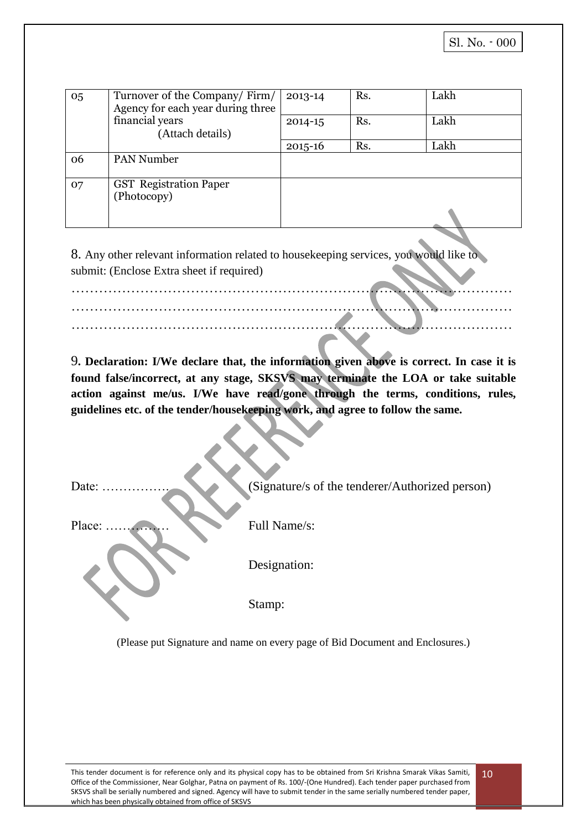| 05 | Turnover of the Company/Firm/<br>Agency for each year during three | 2013-14     | Rs. | Lakh |
|----|--------------------------------------------------------------------|-------------|-----|------|
|    | financial years<br>(Attach details)                                | $2014 - 15$ | Rs. | Lakh |
|    |                                                                    | $2015 - 16$ | Rs. | Lakh |
| 06 | <b>PAN Number</b>                                                  |             |     |      |
| 07 | <b>GST</b> Registration Paper<br>(Photocopy)                       |             |     |      |
|    |                                                                    |             |     |      |

8. Any other relevant information related to housekeeping services, you would like to submit: (Enclose Extra sheet if required)

…………………………………………………………………………………… …………………………………………………………………………………… ……………………………………………………………………………………

9**. Declaration: I/We declare that, the information given above is correct. In case it is found false/incorrect, at any stage, SKSVS may terminate the LOA or take suitable action against me/us. I/We have read/gone through the terms, conditions, rules, guidelines etc. of the tender/housekeeping work, and agree to follow the same.**

| Date:  | (Signature/s of the tenderer/Authorized person) |
|--------|-------------------------------------------------|
| Place: | Full Name/s:                                    |
|        | Designation:                                    |
|        | Stamp:                                          |

(Please put Signature and name on every page of Bid Document and Enclosures.)